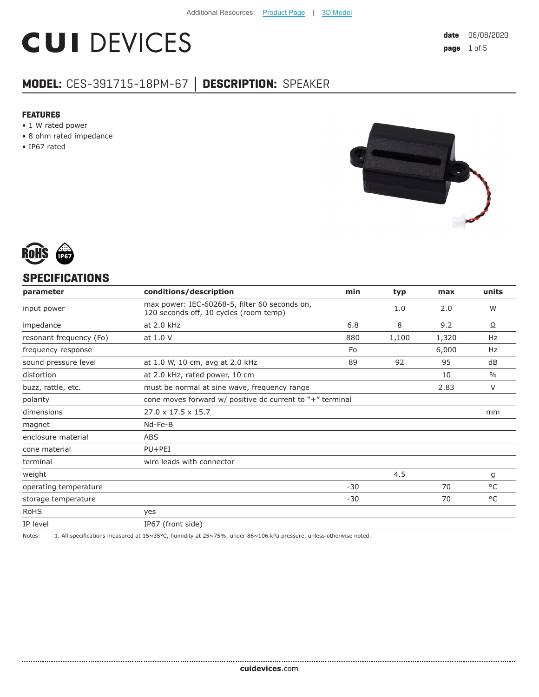# **CUI DEVICES**

### **MODEL:** CES-391715-18PM-67 **│ DESCRIPTION:** SPEAKER

#### **FEATURES**

- 1 W rated power
- 8 ohm rated impedance
- IP67 rated





#### **SPECIFICATIONS**

| parameter               | conditions/description                                                                  | min   | typ   | max   | units         |
|-------------------------|-----------------------------------------------------------------------------------------|-------|-------|-------|---------------|
| input power             | max power: IEC-60268-5, filter 60 seconds on,<br>120 seconds off, 10 cycles (room temp) |       | 1.0   | 2.0   | W             |
| impedance               | at 2.0 kHz                                                                              | 6.8   | 8     | 9.2   | Ω             |
| resonant frequency (Fo) | at 1.0 V                                                                                | 880   | 1,100 | 1,320 | Hz            |
| frequency response      |                                                                                         | Fo    |       | 6,000 | Hz            |
| sound pressure level    | at 1.0 W, 10 cm, avg at 2.0 kHz                                                         | 89    | 92    | 95    | dB            |
| distortion              | at 2.0 kHz, rated power, 10 cm                                                          |       |       | 10    | $\frac{0}{0}$ |
| buzz, rattle, etc.      | must be normal at sine wave, frequency range                                            |       |       | 2.83  | V             |
| polarity                | cone moves forward $w/$ positive dc current to "+" terminal                             |       |       |       |               |
| dimensions              | $27.0 \times 17.5 \times 15.7$                                                          |       |       |       | mm            |
| magnet                  | Nd-Fe-B                                                                                 |       |       |       |               |
| enclosure material      | <b>ABS</b>                                                                              |       |       |       |               |
| cone material           | $PU+PEI$                                                                                |       |       |       |               |
| terminal                | wire leads with connector                                                               |       |       |       |               |
| weight                  |                                                                                         |       | 4.5   |       | g             |
| operating temperature   |                                                                                         | $-30$ |       | 70    | °C            |
| storage temperature     |                                                                                         | $-30$ |       | 70    | °C            |
| <b>RoHS</b>             | yes                                                                                     |       |       |       |               |
| IP level                | IP67 (front side)                                                                       |       |       |       |               |
|                         |                                                                                         |       |       |       |               |

Notes: 1. All specifications measured at 15~35°C, humidity at 25~75%, under 86~106 kPa pressure, unless otherwise noted.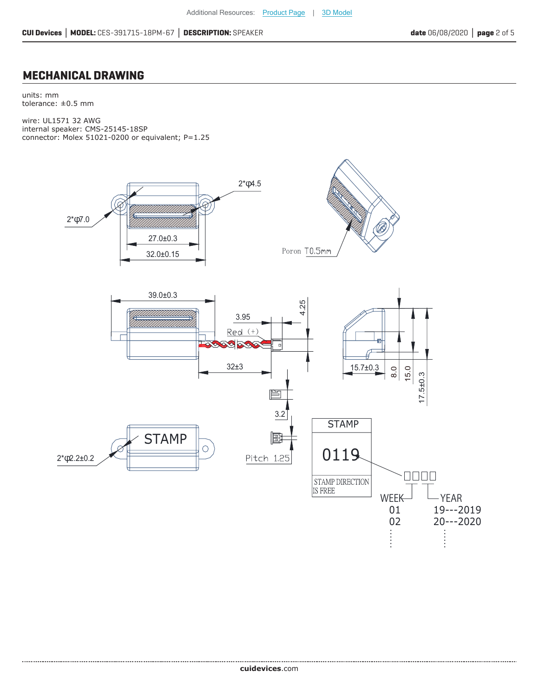#### **MECHANICAL DRAWING**

units: mm tolerance: ±0.5 mm

.....................................

wire: UL1571 32 AWG internal speaker: CMS-25145-18SP connector: Molex 51021-0200 or equivalent; P=1.25

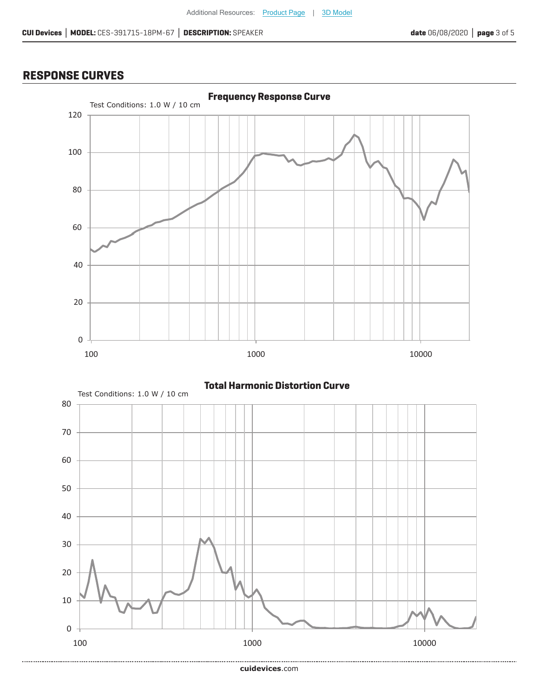#### **RESPONSE CURVES**



**Total Harmonic Distortion Curve**



**cui[devices](https://www.cuidevices.com/track?actionLabel=Datasheet-ClickThrough-HomePage&label=CES-391715-18PM-67.pdf&path=/)**.com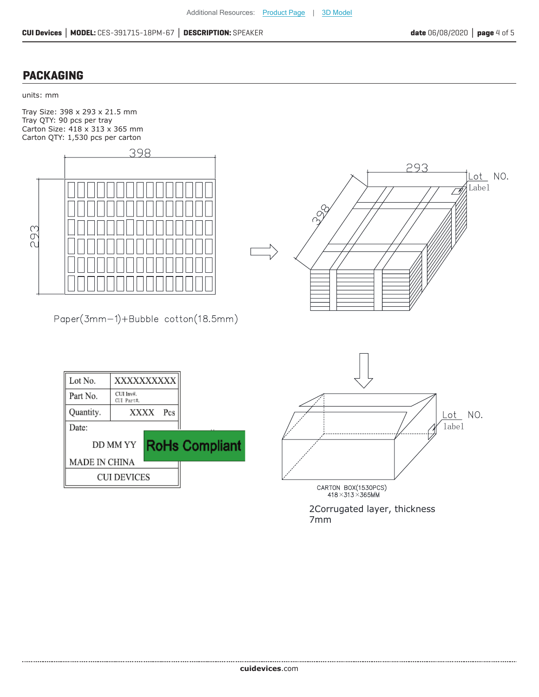#### **PACKAGING**

units: mm

Tray Size: 398 x 293 x 21.5 mm Tray QTY: 90 pcs per tray Carton Size: 418 x 313 x 365 mm Carton QTY: 1,530 pcs per carton



Paper(3mm-1)+Bubble cotton(18.5mm)







2Corrugated layer, thickness 7mm